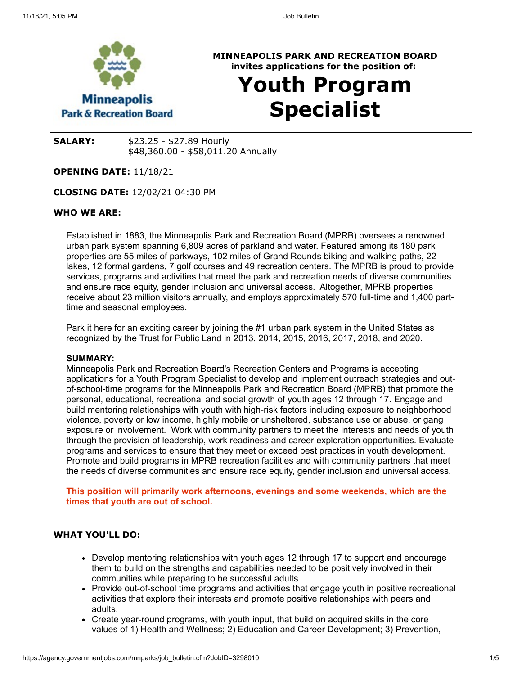

**MINNEAPOLIS PARK AND RECREATION BOARD invites applications for the position of:**

# **Youth Program Specialist**

**SALARY:** \$23.25 - \$27.89 Hourly \$48,360.00 - \$58,011.20 Annually

**OPENING DATE:** 11/18/21

**CLOSING DATE:** 12/02/21 04:30 PM

#### **WHO WE ARE:**

Established in 1883, the Minneapolis Park and Recreation Board (MPRB) oversees a renowned urban park system spanning 6,809 acres of parkland and water. Featured among its 180 park properties are 55 miles of parkways, 102 miles of Grand Rounds biking and walking paths, 22 lakes, 12 formal gardens, 7 golf courses and 49 recreation centers. The MPRB is proud to provide services, programs and activities that meet the park and recreation needs of diverse communities and ensure race equity, gender inclusion and universal access. Altogether, MPRB properties receive about 23 million visitors annually, and employs approximately 570 full-time and 1,400 parttime and seasonal employees.

Park it here for an exciting career by joining the #1 urban park system in the United States as recognized by the Trust for Public Land in 2013, 2014, 2015, 2016, 2017, 2018, and 2020.

#### **SUMMARY:**

Minneapolis Park and Recreation Board's Recreation Centers and Programs is accepting applications for a Youth Program Specialist to develop and implement outreach strategies and outof-school-time programs for the Minneapolis Park and Recreation Board (MPRB) that promote the personal, educational, recreational and social growth of youth ages 12 through 17. Engage and build mentoring relationships with youth with high-risk factors including exposure to neighborhood violence, poverty or low income, highly mobile or unsheltered, substance use or abuse, or gang exposure or involvement. Work with community partners to meet the interests and needs of youth through the provision of leadership, work readiness and career exploration opportunities. Evaluate programs and services to ensure that they meet or exceed best practices in youth development. Promote and build programs in MPRB recreation facilities and with community partners that meet the needs of diverse communities and ensure race equity, gender inclusion and universal access.

**This position will primarily work afternoons, evenings and some weekends, which are the times that youth are out of school.**

# **WHAT YOU'LL DO:**

- Develop mentoring relationships with youth ages 12 through 17 to support and encourage them to build on the strengths and capabilities needed to be positively involved in their communities while preparing to be successful adults.
- Provide out-of-school time programs and activities that engage youth in positive recreational activities that explore their interests and promote positive relationships with peers and adults.
- Create year-round programs, with youth input, that build on acquired skills in the core values of 1) Health and Wellness; 2) Education and Career Development; 3) Prevention,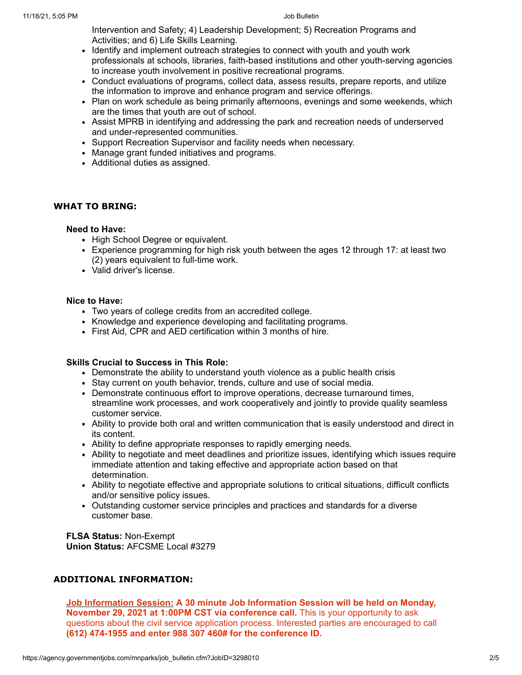Intervention and Safety; 4) Leadership Development; 5) Recreation Programs and Activities; and 6) Life Skills Learning.

- Identify and implement outreach strategies to connect with youth and youth work professionals at schools, libraries, faith-based institutions and other youth-serving agencies to increase youth involvement in positive recreational programs.
- Conduct evaluations of programs, collect data, assess results, prepare reports, and utilize the information to improve and enhance program and service offerings.
- Plan on work schedule as being primarily afternoons, evenings and some weekends, which are the times that youth are out of school.
- Assist MPRB in identifying and addressing the park and recreation needs of underserved and under-represented communities.
- Support Recreation Supervisor and facility needs when necessary.
- Manage grant funded initiatives and programs.
- Additional duties as assigned.

#### **WHAT TO BRING:**

#### **Need to Have:**

- High School Degree or equivalent.
- Experience programming for high risk youth between the ages 12 through 17: at least two (2) years equivalent to full-time work.
- Valid driver's license.

# **Nice to Have:**

- Two years of college credits from an accredited college.
- Knowledge and experience developing and facilitating programs.
- First Aid, CPR and AED certification within 3 months of hire.

#### **Skills Crucial to Success in This Role:**

- Demonstrate the ability to understand youth violence as a public health crisis
- Stay current on youth behavior, trends, culture and use of social media.
- Demonstrate continuous effort to improve operations, decrease turnaround times, streamline work processes, and work cooperatively and jointly to provide quality seamless customer service.
- Ability to provide both oral and written communication that is easily understood and direct in its content.
- Ability to define appropriate responses to rapidly emerging needs.
- Ability to negotiate and meet deadlines and prioritize issues, identifying which issues require immediate attention and taking effective and appropriate action based on that determination.
- Ability to negotiate effective and appropriate solutions to critical situations, difficult conflicts and/or sensitive policy issues.
- Outstanding customer service principles and practices and standards for a diverse customer base.

**FLSA Status:** Non-Exempt **Union Status:** AFCSME Local #3279

# **ADDITIONAL INFORMATION:**

**Job Information Session: A 30 minute Job Information Session will be held on Monday, November 29, 2021 at 1:00PM CST via conference call.** This is your opportunity to ask questions about the civil service application process. Interested parties are encouraged to call **(612) 474-1955 and enter 988 307 460# for the conference ID.**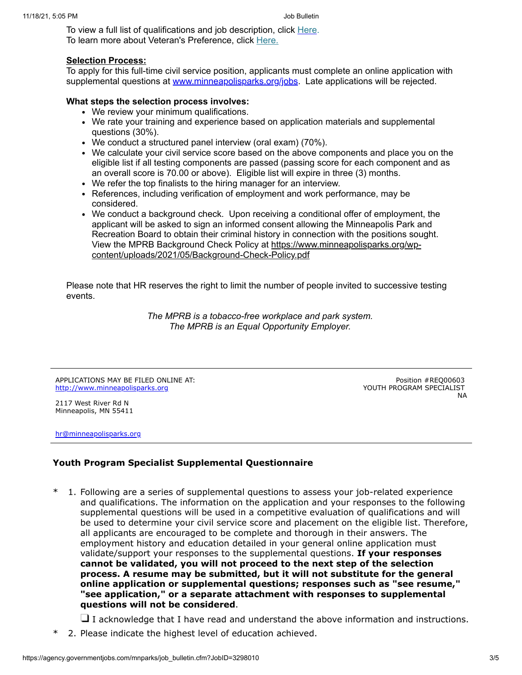To view a full list of qualifications and job description, click [Here.](https://www.governmentjobs.com/careers/mnparks/classspecs/1159159) To learn more about Veteran's Preference, click [Here.](https://www.minneapolisparks.org/jobs/veterans_preference/)

# **Selection Process:**

To apply for this full-time civil service position, applicants must complete an online application with supplemental questions at [www.minneapolisparks.org/jobs.](http://www.minneapolisparks.org/jobs) Late applications will be rejected.

# **What steps the selection process involves:**

- We review your minimum qualifications.
- We rate your training and experience based on application materials and supplemental questions (30%).
- We conduct a structured panel interview (oral exam) (70%).
- We calculate your civil service score based on the above components and place you on the eligible list if all testing components are passed (passing score for each component and as an overall score is 70.00 or above). Eligible list will expire in three (3) months.
- We refer the top finalists to the hiring manager for an interview.
- References, including verification of employment and work performance, may be considered.
- We conduct a background check. Upon receiving a conditional offer of employment, the applicant will be asked to sign an informed consent allowing the Minneapolis Park and Recreation Board to obtain their criminal history in connection with the positions sought. [View the MPRB Background Check Policy at https://www.minneapolisparks.org/wp](https://gcc02.safelinks.protection.outlook.com/?url=https%3A%2F%2Fwww.minneapolisparks.org%2Fwp-content%2Fuploads%2F2021%2F05%2FBackground-Check-Policy.pdf&data=04%7C01%7C%7Cf2ad0c4bdc484ea42e7208d910b17530%7C64978fab645c49ceb833754623612d22%7C0%7C0%7C637559176616344615%7CUnknown%7CTWFpbGZsb3d8eyJWIjoiMC4wLjAwMDAiLCJQIjoiV2luMzIiLCJBTiI6Ik1haWwiLCJXVCI6Mn0%3D%7C1000&sdata=O4Pa1eIIiAw4Th%2BM9QnqyC9q5nhQC9COgaJ4FdWDPv8%3D&reserved=0)content/uploads/2021/05/Background-Check-Policy.pdf

Please note that HR reserves the right to limit the number of people invited to successive testing events.

> *The MPRB is a tobacco-free workplace and park system. The MPRB is an Equal Opportunity Employer.*

APPLICATIONS MAY BE FILED ONLINE AT: [http://www.minneapolisparks.org](http://www.minneapolisparks.org/)

Position #REQ00603 YOUTH PROGRAM SPECIALIST NA

2117 West River Rd N Minneapolis, MN 55411

[hr@minneapolisparks.org](mailto:hr@minneapolisparks.org)

# **Youth Program Specialist Supplemental Questionnaire**

\* 1. Following are a series of supplemental questions to assess your job-related experience and qualifications. The information on the application and your responses to the following supplemental questions will be used in a competitive evaluation of qualifications and will be used to determine your civil service score and placement on the eligible list. Therefore, all applicants are encouraged to be complete and thorough in their answers. The employment history and education detailed in your general online application must validate/support your responses to the supplemental questions. **If your responses cannot be validated, you will not proceed to the next step of the selection process. A resume may be submitted, but it will not substitute for the general online application or supplemental questions; responses such as "see resume," "see application," or a separate attachment with responses to supplemental questions will not be considered**.

 $\Box$  I acknowledge that I have read and understand the above information and instructions.

2. Please indicate the highest level of education achieved.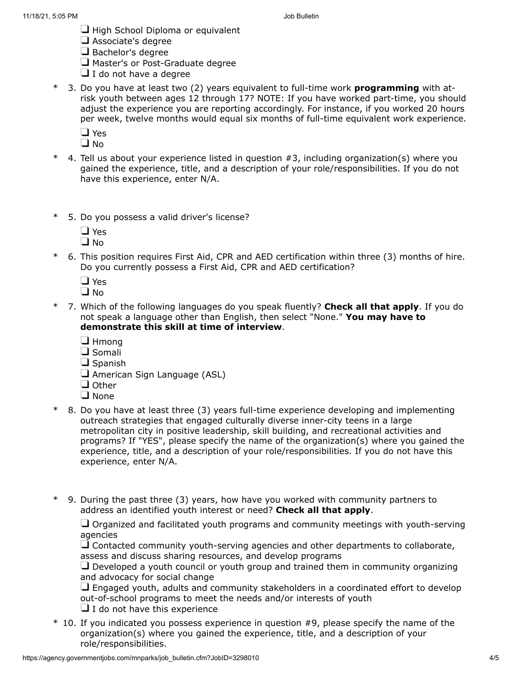- $\Box$  High School Diploma or equivalent
- Associate's degree
- $\Box$  Bachelor's degree
- Master's or Post-Graduate degree
- $\Box$  I do not have a degree
- \* 3. Do you have at least two (2) years equivalent to full-time work **programming** with atrisk youth between ages 12 through 17? NOTE: If you have worked part-time, you should adjust the experience you are reporting accordingly. For instance, if you worked 20 hours per week, twelve months would equal six months of full-time equivalent work experience.

**D** Yes

 $\square$  No

- \* 4. Tell us about your experience listed in question #3, including organization(s) where you gained the experience, title, and a description of your role/responsibilities. If you do not have this experience, enter N/A.
- \* 5. Do you possess a valid driver's license?
	- □ Yes  $\Box$  No
- \* 6. This position requires First Aid, CPR and AED certification within three (3) months of hire. Do you currently possess a First Aid, CPR and AED certification?
	- **D** Yes
	- $\Box$  No
- \* 7. Which of the following languages do you speak fluently? **Check all that apply**. If you do not speak a language other than English, then select "None." **You may have to demonstrate this skill at time of interview**.
	- **J** Hmong
	- $\Box$  Somali
	- $\Box$  Spanish
	- American Sign Language (ASL)
	- $\Box$  Other
	- □ None
- \* 8. Do you have at least three (3) years full-time experience developing and implementing outreach strategies that engaged culturally diverse inner-city teens in a large metropolitan city in positive leadership, skill building, and recreational activities and programs? If "YES", please specify the name of the organization(s) where you gained the experience, title, and a description of your role/responsibilities. If you do not have this experience, enter N/A.
- \* 9. During the past three (3) years, how have you worked with community partners to address an identified youth interest or need? **Check all that apply**.

 $\Box$  Organized and facilitated youth programs and community meetings with youth-serving agencies

 $\Box$  Contacted community youth-serving agencies and other departments to collaborate, assess and discuss sharing resources, and develop programs

 $\Box$  Developed a youth council or youth group and trained them in community organizing and advocacy for social change

 $\Box$  Engaged youth, adults and community stakeholders in a coordinated effort to develop out-of-school programs to meet the needs and/or interests of youth

 $\Box$  I do not have this experience

\* 10. If you indicated you possess experience in question #9, please specify the name of the organization(s) where you gained the experience, title, and a description of your role/responsibilities.